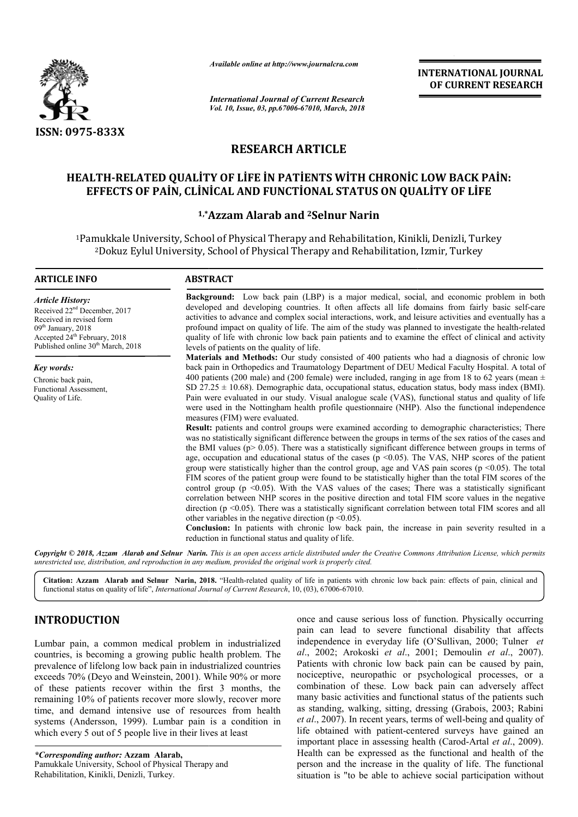

*Available online at http://www.journalcra.com*

# **RESEARCH ARTICLE**

# **HEALTH-RELATED QUALİTY OF LİFE İN PATİENTS WİTH CHRONİC LOW BACK PAİN: EFFECTS OF PAİN, CLİNİCAL AND FUNCTİONAL STATUS ON QUALİTY OF LİFE** RELATED QUALİTY OF LİFE İN PATİENTS WİTH CHRONİC LOW BACK<br>CTS OF PAİN, CLİNİCAL AND FUNCTİONAL STATUS ON QUALİTY OF LİI<br><sup>1,\*</sup>Azzam Alarab and <sup>2</sup>Selnur Narin

### **1,\*Azzam Alarab**

|                                                                                                                                                                                                                                                                                                                                                                                                                                                                                                                                  | unuvic vinine ui nup.//www.jvurnuicru.com                                                                                                                                                                                                                                                                                                                                                                                                                                                                                                                                                                                                                                                                                                                                                                                                                                                                                                                                                                                                                                                                                                                                                                                                                                                                                                                                                                                                                                                                                                                                                                                                                                                                                                                                                                                                                                                              | <b>INTERNATIONAL JOURNAL</b><br>OF CURRENT RESEARCH                                                                                                                                                                                                                                                                                                                                                                                                                                                                                                                                                                                                       |  |  |  |
|----------------------------------------------------------------------------------------------------------------------------------------------------------------------------------------------------------------------------------------------------------------------------------------------------------------------------------------------------------------------------------------------------------------------------------------------------------------------------------------------------------------------------------|--------------------------------------------------------------------------------------------------------------------------------------------------------------------------------------------------------------------------------------------------------------------------------------------------------------------------------------------------------------------------------------------------------------------------------------------------------------------------------------------------------------------------------------------------------------------------------------------------------------------------------------------------------------------------------------------------------------------------------------------------------------------------------------------------------------------------------------------------------------------------------------------------------------------------------------------------------------------------------------------------------------------------------------------------------------------------------------------------------------------------------------------------------------------------------------------------------------------------------------------------------------------------------------------------------------------------------------------------------------------------------------------------------------------------------------------------------------------------------------------------------------------------------------------------------------------------------------------------------------------------------------------------------------------------------------------------------------------------------------------------------------------------------------------------------------------------------------------------------------------------------------------------------|-----------------------------------------------------------------------------------------------------------------------------------------------------------------------------------------------------------------------------------------------------------------------------------------------------------------------------------------------------------------------------------------------------------------------------------------------------------------------------------------------------------------------------------------------------------------------------------------------------------------------------------------------------------|--|--|--|
|                                                                                                                                                                                                                                                                                                                                                                                                                                                                                                                                  | <b>International Journal of Current Research</b><br>Vol. 10, Issue, 03, pp.67006-67010, March, 2018                                                                                                                                                                                                                                                                                                                                                                                                                                                                                                                                                                                                                                                                                                                                                                                                                                                                                                                                                                                                                                                                                                                                                                                                                                                                                                                                                                                                                                                                                                                                                                                                                                                                                                                                                                                                    |                                                                                                                                                                                                                                                                                                                                                                                                                                                                                                                                                                                                                                                           |  |  |  |
| ISSN: 0975-833X                                                                                                                                                                                                                                                                                                                                                                                                                                                                                                                  |                                                                                                                                                                                                                                                                                                                                                                                                                                                                                                                                                                                                                                                                                                                                                                                                                                                                                                                                                                                                                                                                                                                                                                                                                                                                                                                                                                                                                                                                                                                                                                                                                                                                                                                                                                                                                                                                                                        |                                                                                                                                                                                                                                                                                                                                                                                                                                                                                                                                                                                                                                                           |  |  |  |
|                                                                                                                                                                                                                                                                                                                                                                                                                                                                                                                                  | <b>RESEARCH ARTICLE</b>                                                                                                                                                                                                                                                                                                                                                                                                                                                                                                                                                                                                                                                                                                                                                                                                                                                                                                                                                                                                                                                                                                                                                                                                                                                                                                                                                                                                                                                                                                                                                                                                                                                                                                                                                                                                                                                                                |                                                                                                                                                                                                                                                                                                                                                                                                                                                                                                                                                                                                                                                           |  |  |  |
|                                                                                                                                                                                                                                                                                                                                                                                                                                                                                                                                  |                                                                                                                                                                                                                                                                                                                                                                                                                                                                                                                                                                                                                                                                                                                                                                                                                                                                                                                                                                                                                                                                                                                                                                                                                                                                                                                                                                                                                                                                                                                                                                                                                                                                                                                                                                                                                                                                                                        | HEALTH-RELATED QUALITY OF LIFE IN PATIENTS WITH CHRONIC LOW BACK PAIN:<br>EFFECTS OF PAIN, CLINICAL AND FUNCTIONAL STATUS ON QUALITY OF LIFE                                                                                                                                                                                                                                                                                                                                                                                                                                                                                                              |  |  |  |
|                                                                                                                                                                                                                                                                                                                                                                                                                                                                                                                                  |                                                                                                                                                                                                                                                                                                                                                                                                                                                                                                                                                                                                                                                                                                                                                                                                                                                                                                                                                                                                                                                                                                                                                                                                                                                                                                                                                                                                                                                                                                                                                                                                                                                                                                                                                                                                                                                                                                        | <sup>1,*</sup> Azzam Alarab and <sup>2</sup> Selnur Narin                                                                                                                                                                                                                                                                                                                                                                                                                                                                                                                                                                                                 |  |  |  |
|                                                                                                                                                                                                                                                                                                                                                                                                                                                                                                                                  |                                                                                                                                                                                                                                                                                                                                                                                                                                                                                                                                                                                                                                                                                                                                                                                                                                                                                                                                                                                                                                                                                                                                                                                                                                                                                                                                                                                                                                                                                                                                                                                                                                                                                                                                                                                                                                                                                                        | <sup>1</sup> Pamukkale University, School of Physical Therapy and Rehabilitation, Kinikli, Denizli, Turkey<br><sup>2</sup> Dokuz Eylul University, School of Physical Therapy and Rehabilitation, Izmir, Turkey                                                                                                                                                                                                                                                                                                                                                                                                                                           |  |  |  |
| <b>ARTICLE INFO</b>                                                                                                                                                                                                                                                                                                                                                                                                                                                                                                              | <b>ABSTRACT</b>                                                                                                                                                                                                                                                                                                                                                                                                                                                                                                                                                                                                                                                                                                                                                                                                                                                                                                                                                                                                                                                                                                                                                                                                                                                                                                                                                                                                                                                                                                                                                                                                                                                                                                                                                                                                                                                                                        |                                                                                                                                                                                                                                                                                                                                                                                                                                                                                                                                                                                                                                                           |  |  |  |
| <b>Article History:</b><br>Received 22 <sup>nd</sup> December, 2017<br>Received in revised form<br>09 <sup>th</sup> January, 2018<br>Accepted 24 <sup>th</sup> February, 2018<br>Published online 30 <sup>th</sup> March, 2018                                                                                                                                                                                                                                                                                                   | levels of patients on the quality of life.                                                                                                                                                                                                                                                                                                                                                                                                                                                                                                                                                                                                                                                                                                                                                                                                                                                                                                                                                                                                                                                                                                                                                                                                                                                                                                                                                                                                                                                                                                                                                                                                                                                                                                                                                                                                                                                             | Background: Low back pain (LBP) is a major medical, social, and economic problem in both<br>developed and developing countries. It often affects all life domains from fairly basic self-care<br>activities to advance and complex social interactions, work, and leisure activities and eventually has a<br>profound impact on quality of life. The aim of the study was planned to investigate the health-related<br>quality of life with chronic low back pain patients and to examine the effect of clinical and activity                                                                                                                             |  |  |  |
| <b>Key words:</b><br>Chronic back pain,<br>Functional Assessment,<br>Quality of Life.                                                                                                                                                                                                                                                                                                                                                                                                                                            | Materials and Methods: Our study consisted of 400 patients who had a diagnosis of chronic low<br>back pain in Orthopedics and Traumatology Department of DEU Medical Faculty Hospital. A total of<br>400 patients (200 male) and (200 female) were included, ranging in age from 18 to 62 years (mean $\pm$<br>SD 27.25 $\pm$ 10.68). Demographic data, occupational status, education status, body mass index (BMI).<br>Pain were evaluated in our study. Visual analogue scale (VAS), functional status and quality of life<br>were used in the Nottingham health profile questionnaire (NHP). Also the functional independence<br>measures (FIM) were evaluated.<br>Result: patients and control groups were examined according to demographic characteristics; There<br>was no statistically significant difference between the groups in terms of the sex ratios of the cases and<br>the BMI values ( $p > 0.05$ ). There was a statistically significant difference between groups in terms of<br>age, occupation and educational status of the cases ( $p \le 0.05$ ). The VAS, NHP scores of the patient<br>group were statistically higher than the control group, age and VAS pain scores ( $p \le 0.05$ ). The total<br>FIM scores of the patient group were found to be statistically higher than the total FIM scores of the<br>control group ( $p \le 0.05$ ). With the VAS values of the cases; There was a statistically significant<br>correlation between NHP scores in the positive direction and total FIM score values in the negative<br>direction ( $p \le 0.05$ ). There was a statistically significant correlation between total FIM scores and all<br>other variables in the negative direction ( $p \le 0.05$ ).<br>Conclusion: In patients with chronic low back pain, the increase in pain severity resulted in a<br>reduction in functional status and quality of life. |                                                                                                                                                                                                                                                                                                                                                                                                                                                                                                                                                                                                                                                           |  |  |  |
|                                                                                                                                                                                                                                                                                                                                                                                                                                                                                                                                  | unrestricted use, distribution, and reproduction in any medium, provided the original work is properly cited.                                                                                                                                                                                                                                                                                                                                                                                                                                                                                                                                                                                                                                                                                                                                                                                                                                                                                                                                                                                                                                                                                                                                                                                                                                                                                                                                                                                                                                                                                                                                                                                                                                                                                                                                                                                          | Copyright © 2018, Azzam Alarab and Selnur Narin. This is an open access article distributed under the Creative Commons Attribution License, which permits                                                                                                                                                                                                                                                                                                                                                                                                                                                                                                 |  |  |  |
|                                                                                                                                                                                                                                                                                                                                                                                                                                                                                                                                  | functional status on quality of life", International Journal of Current Research, 10, (03), 67006-67010.                                                                                                                                                                                                                                                                                                                                                                                                                                                                                                                                                                                                                                                                                                                                                                                                                                                                                                                                                                                                                                                                                                                                                                                                                                                                                                                                                                                                                                                                                                                                                                                                                                                                                                                                                                                               | Citation: Azzam Alarab and Selnur Narin, 2018. "Health-related quality of life in patients with chronic low back pain: effects of pain, clinical and                                                                                                                                                                                                                                                                                                                                                                                                                                                                                                      |  |  |  |
| <b>INTRODUCTION</b><br>Lumbar pain, a common medical problem in industrialized<br>countries, is becoming a growing public health problem. The<br>prevalence of lifelong low back pain in industrialized countries<br>exceeds 70% (Deyo and Weinstein, 2001). While 90% or more<br>of these patients recover within the first 3 months, the<br>remaining 10% of patients recover more slowly, recover more<br>time, and demand intensive use of resources from health<br>systems (Andersson, 1999). Lumbar pain is a condition in |                                                                                                                                                                                                                                                                                                                                                                                                                                                                                                                                                                                                                                                                                                                                                                                                                                                                                                                                                                                                                                                                                                                                                                                                                                                                                                                                                                                                                                                                                                                                                                                                                                                                                                                                                                                                                                                                                                        | once and cause serious loss of function. Physically occurring<br>pain can lead to severe functional disability that affects<br>independence in everyday life (O'Sullivan, 2000; Tulner et<br>al., 2002; Arokoski et al., 2001; Demoulin et al., 2007).<br>Patients with chronic low back pain can be caused by pain,<br>nociceptive, neuropathic or psychological processes, or a<br>combination of these. Low back pain can adversely affect<br>many basic activities and functional status of the patients such<br>as standing, walking, sitting, dressing (Grabois, 2003; Rabini<br>et al., 2007). In recent years, terms of well-being and quality of |  |  |  |
| which every 5 out of 5 people live in their lives at least<br>*Corresponding author: Azzam Alarab,<br>Pamukkale University, School of Physical Therapy and<br>Rehabilitation, Kinikli, Denizli, Turkey.                                                                                                                                                                                                                                                                                                                          |                                                                                                                                                                                                                                                                                                                                                                                                                                                                                                                                                                                                                                                                                                                                                                                                                                                                                                                                                                                                                                                                                                                                                                                                                                                                                                                                                                                                                                                                                                                                                                                                                                                                                                                                                                                                                                                                                                        | life obtained with patient-centered surveys have gained an<br>important place in assessing health (Carod-Artal et al., 2009).<br>Health can be expressed as the functional and health of the<br>person and the increase in the quality of life. The functional<br>situation is "to be able to achieve social participation without                                                                                                                                                                                                                                                                                                                        |  |  |  |

# **INTRODUCTION**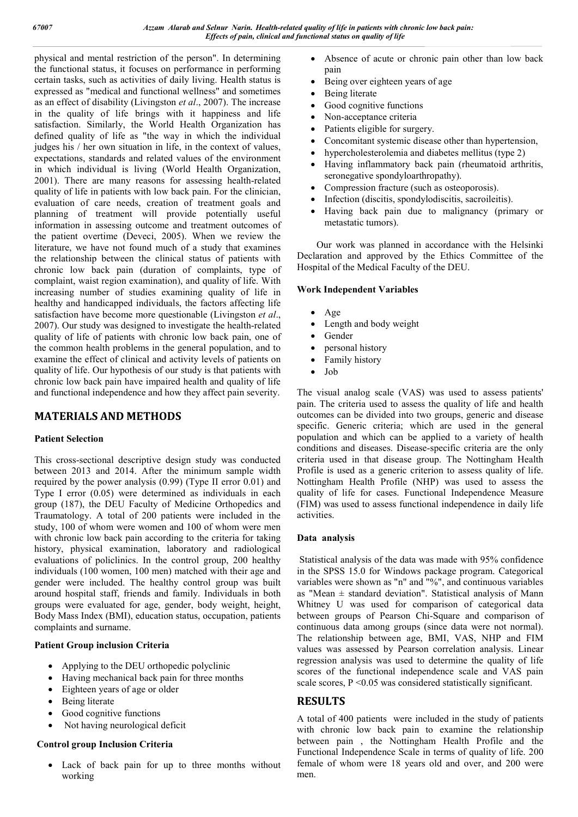physical and mental restriction of the person". In determining the functional status, it focuses on performance in performing certain tasks, such as activities of daily living. Health status is expressed as "medical and functional wellness" and sometimes as an effect of disability (Livingston *et al*., 2007). The increase in the quality of life brings with it happiness and life satisfaction. Similarly, the World Health Organization has defined quality of life as "the way in which the individual judges his / her own situation in life, in the context of values, expectations, standards and related values of the environment in which individual is living (World Health Organization, 2001). There are many reasons for assessing health-related quality of life in patients with low back pain. For the clinician, evaluation of care needs, creation of treatment goals and planning of treatment will provide potentially useful information in assessing outcome and treatment outcomes of the patient overtime (Deveci, 2005). When we review the literature, we have not found much of a study that examines the relationship between the clinical status of patients with chronic low back pain (duration of complaints, type of complaint, waist region examination), and quality of life. With increasing number of studies examining quality of life in healthy and handicapped individuals, the factors affecting life satisfaction have become more questionable (Livingston *et al*., 2007). Our study was designed to investigate the health-related quality of life of patients with chronic low back pain, one of the common health problems in the general population, and to examine the effect of clinical and activity levels of patients on quality of life. Our hypothesis of our study is that patients with chronic low back pain have impaired health and quality of life and functional independence and how they affect pain severity.

## **MATERIALS AND METHODS**

#### **Patient Selection**

This cross-sectional descriptive design study was conducted between 2013 and 2014. After the minimum sample width required by the power analysis (0.99) (Type II error 0.01) and Type I error (0.05) were determined as individuals in each group (187), the DEU Faculty of Medicine Orthopedics and Traumatology. A total of 200 patients were included in the study, 100 of whom were women and 100 of whom were men with chronic low back pain according to the criteria for taking history, physical examination, laboratory and radiological evaluations of policlinics. In the control group, 200 healthy individuals (100 women, 100 men) matched with their age and gender were included. The healthy control group was built around hospital staff, friends and family. Individuals in both groups were evaluated for age, gender, body weight, height, Body Mass Index (BMI), education status, occupation, patients complaints and surname.

#### **Patient Group inclusion Criteria**

- Applying to the DEU orthopedic polyclinic
- Having mechanical back pain for three months
- Eighteen years of age or older
- Being literate
- Good cognitive functions
- Not having neurological deficit

#### **Control group Inclusion Criteria**

 Lack of back pain for up to three months without working

- Absence of acute or chronic pain other than low back pain
- Being over eighteen years of age
- Being literate
- Good cognitive functions
- Non-acceptance criteria
- Patients eligible for surgery.
- Concomitant systemic disease other than hypertension,
- hypercholesterolemia and diabetes mellitus (type 2)
- Having inflammatory back pain (rheumatoid arthritis, seronegative spondyloarthropathy).
- Compression fracture (such as osteoporosis).
- Infection (discitis, spondylodiscitis, sacroileitis).
- Having back pain due to malignancy (primary or metastatic tumors).

 Our work was planned in accordance with the Helsinki Declaration and approved by the Ethics Committee of the Hospital of the Medical Faculty of the DEU.

#### **Work Independent Variables**

- Age
- Length and body weight
- $\bullet$  Gender
- personal history
- Family history
- $-I$ ob

The visual analog scale (VAS) was used to assess patients' pain. The criteria used to assess the quality of life and health outcomes can be divided into two groups, generic and disease specific. Generic criteria; which are used in the general population and which can be applied to a variety of health conditions and diseases. Disease-specific criteria are the only criteria used in that disease group. The Nottingham Health Profile is used as a generic criterion to assess quality of life. Nottingham Health Profile (NHP) was used to assess the quality of life for cases. Functional Independence Measure (FIM) was used to assess functional independence in daily life activities.

#### **Data analysis**

Statistical analysis of the data was made with 95% confidence in the SPSS 15.0 for Windows package program. Categorical variables were shown as "n" and "%", and continuous variables as "Mean  $\pm$  standard deviation". Statistical analysis of Mann Whitney U was used for comparison of categorical data between groups of Pearson Chi-Square and comparison of continuous data among groups (since data were not normal). The relationship between age, BMI, VAS, NHP and FIM values was assessed by Pearson correlation analysis. Linear regression analysis was used to determine the quality of life scores of the functional independence scale and VAS pain scale scores,  $P \le 0.05$  was considered statistically significant.

## **RESULTS**

A total of 400 patients were included in the study of patients with chronic low back pain to examine the relationship between pain , the Nottingham Health Profile and the Functional Independence Scale in terms of quality of life. 200 female of whom were 18 years old and over, and 200 were men.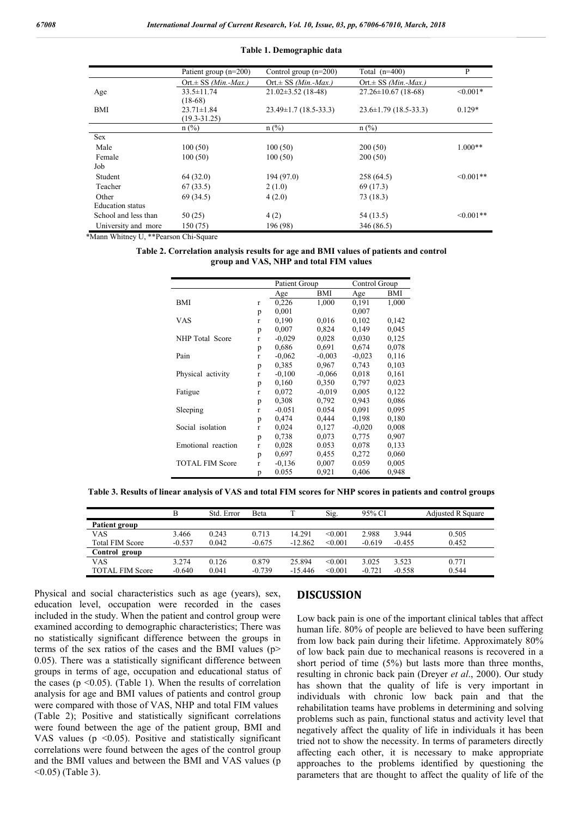#### **Table 1. Demographic data**

|                         | Patient group $(n=200)$   | Control group $(n=200)$     | Total $(n=400)$             | P              |
|-------------------------|---------------------------|-----------------------------|-----------------------------|----------------|
|                         | Ort. $\pm$ SS (Min.-Max.) | Ort. $\pm$ SS (Min.-Max.)   | Ort. $\pm$ SS (Min.-Max.)   |                |
| Age                     | $33.5 \pm 11.74$          | $21.02 \pm 3.52$ (18-48)    | $27.26 \pm 10.67$ (18-68)   | $< 0.001*$     |
|                         | $(18-68)$                 |                             |                             |                |
| BMI                     | $23.71 \pm 1.84$          | $23.49 \pm 1.7$ (18.5-33.3) | $23.6 \pm 1.79$ (18.5-33.3) | $0.129*$       |
|                         | $(19.3 - 31.25)$          |                             |                             |                |
|                         | $n$ (%)                   | $n$ (%)                     | $n$ (%)                     |                |
| <b>Sex</b>              |                           |                             |                             |                |
| Male                    | 100(50)                   | 100(50)                     | 200(50)                     | $1.000**$      |
| Female                  | 100(50)                   | 100(50)                     | 200(50)                     |                |
| Job                     |                           |                             |                             |                |
| Student                 | 64 (32.0)                 | 194 (97.0)                  | 258 (64.5)                  | $\leq 0.001**$ |
| Teacher                 | 67(33.5)                  | 2(1.0)                      | 69 (17.3)                   |                |
| Other                   | 69 (34.5)                 | 4(2.0)                      | 73 (18.3)                   |                |
| <b>Education</b> status |                           |                             |                             |                |
| School and less than    | 50(25)                    | 4(2)                        | 54 (13.5)                   | $\leq 0.001**$ |
| University and more     | 150 (75)                  | 196 (98)                    | 346 (86.5)                  |                |

\*Mann Whitney U, \*\*Pearson Chi-Square

| Table 2. Correlation analysis results for age and BMI values of patients and control |  |
|--------------------------------------------------------------------------------------|--|
| group and VAS, NHP and total FIM values                                              |  |

|                        |              | Patient Group |          | Control Group |       |
|------------------------|--------------|---------------|----------|---------------|-------|
|                        |              | Age           | BMI      | Age           | BMI   |
| <b>BMI</b>             | r            | 0,226         | 1,000    | 0,191         | 1,000 |
|                        | p            | 0,001         |          | 0,007         |       |
| VAS                    | r            | 0,190         | 0,016    | 0,102         | 0,142 |
|                        | p            | 0,007         | 0,824    | 0,149         | 0,045 |
| NHP Total Score        | r            | $-0.029$      | 0,028    | 0,030         | 0,125 |
|                        | p            | 0.686         | 0,691    | 0,674         | 0.078 |
| Pain                   | $\mathbf{r}$ | $-0.062$      | $-0,003$ | $-0,023$      | 0,116 |
|                        | p            | 0.385         | 0,967    | 0,743         | 0,103 |
| Physical activity      | r            | $-0,100$      | $-0.066$ | 0,018         | 0,161 |
|                        | p            | 0,160         | 0,350    | 0,797         | 0.023 |
| Fatigue                | r            | 0.072         | $-0.019$ | 0,005         | 0.122 |
|                        | p            | 0.308         | 0,792    | 0,943         | 0,086 |
| Sleeping               | r            | $-0.051$      | 0.054    | 0.091         | 0.095 |
|                        | p            | 0,474         | 0,444    | 0,198         | 0.180 |
| Social isolation       | r            | 0,024         | 0,127    | $-0.020$      | 0.008 |
|                        | p            | 0,738         | 0,073    | 0,775         | 0,907 |
| Emotional reaction     | r            | 0,028         | 0.053    | 0,078         | 0.133 |
|                        | p            | 0,697         | 0,455    | 0,272         | 0,060 |
| <b>TOTAL FIM Score</b> | r            | $-0.136$      | 0,007    | 0.059         | 0.005 |
|                        | р            | 0.055         | 0,921    | 0,406         | 0.948 |

**Table 3. Results of linear analysis of VAS and total FIM scores for NHP scores in patients and control groups**

|                        | В        | Std. Error | Beta     |           | Sig.    | 95% CI   |          | <b>Adjusted R Square</b> |
|------------------------|----------|------------|----------|-----------|---------|----------|----------|--------------------------|
| Patient group          |          |            |          |           |         |          |          |                          |
| <b>VAS</b>             | 3.466    | 0.243      | 0.713    | 14.291    | < 0.001 | 2.988    | 3.944    | 0.505                    |
| <b>Total FIM Score</b> | $-0.537$ | 0.042      | $-0.675$ | $-12.862$ | < 0.001 | $-0.619$ | $-0.455$ | 0.452                    |
| Control group          |          |            |          |           |         |          |          |                          |
| <b>VAS</b>             | 3.274    | 0.126      | 0.879    | 25.894    | < 0.001 | 3.025    | 3.523    | 0.771                    |
| <b>TOTAL FIM Score</b> | $-0.640$ | 0.041      | $-0.739$ | $-15.446$ | < 0.001 | $-0.721$ | $-0.558$ | 0.544                    |

Physical and social characteristics such as age (years), sex, education level, occupation were recorded in the cases included in the study. When the patient and control group were examined according to demographic characteristics; There was no statistically significant difference between the groups in terms of the sex ratios of the cases and the BMI values (p> 0.05). There was a statistically significant difference between groups in terms of age, occupation and educational status of the cases ( $p \le 0.05$ ). (Table 1). When the results of correlation analysis for age and BMI values of patients and control group were compared with those of VAS, NHP and total FIM values (Table 2); Positive and statistically significant correlations were found between the age of the patient group, BMI and VAS values ( $p \le 0.05$ ). Positive and statistically significant correlations were found between the ages of the control group and the BMI values and between the BMI and VAS values (p  $(0.05)$  (Table 3).

#### **DISCUSSION**

Low back pain is one of the important clinical tables that affect human life. 80% of people are believed to have been suffering from low back pain during their lifetime. Approximately 80% of low back pain due to mechanical reasons is recovered in a short period of time (5%) but lasts more than three months, resulting in chronic back pain (Dreyer *et al*., 2000). Our study has shown that the quality of life is very important in individuals with chronic low back pain and that the rehabilitation teams have problems in determining and solving problems such as pain, functional status and activity level that negatively affect the quality of life in individuals it has been tried not to show the necessity. In terms of parameters directly affecting each other, it is necessary to make appropriate approaches to the problems identified by questioning the parameters that are thought to affect the quality of life of the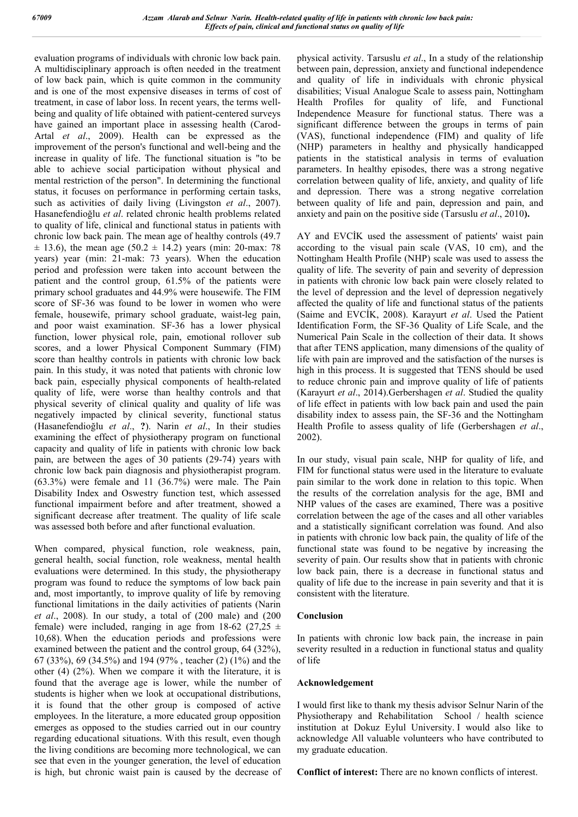evaluation programs of individuals with chronic low back pain. A multidisciplinary approach is often needed in the treatment of low back pain, which is quite common in the community and is one of the most expensive diseases in terms of cost of treatment, in case of labor loss. In recent years, the terms wellbeing and quality of life obtained with patient-centered surveys have gained an important place in assessing health (Carod-Artal *et al*., 2009). Health can be expressed as the improvement of the person's functional and well-being and the increase in quality of life. The functional situation is "to be able to achieve social participation without physical and mental restriction of the person". In determining the functional status, it focuses on performance in performing certain tasks, such as activities of daily living (Livingston *et al*., 2007). Hasanefendioğlu *et al*. related chronic health problems related to quality of life, clinical and functional status in patients with chronic low back pain. The mean age of healthy controls (49.7  $\pm$  13.6), the mean age (50.2  $\pm$  14.2) years (min: 20-max: 78 years) year (min: 21-mak: 73 years). When the education period and profession were taken into account between the patient and the control group, 61.5% of the patients were primary school graduates and 44.9% were housewife. The FIM score of SF-36 was found to be lower in women who were female, housewife, primary school graduate, waist-leg pain, and poor waist examination. SF-36 has a lower physical function, lower physical role, pain, emotional rollover sub scores, and a lower Physical Component Summary (FIM) score than healthy controls in patients with chronic low back pain. In this study, it was noted that patients with chronic low back pain, especially physical components of health-related quality of life, were worse than healthy controls and that physical severity of clinical quality and quality of life was negatively impacted by clinical severity, functional status (Hasanefendioğlu *et al*., **?**). Narin *et al*., In their studies examining the effect of physiotherapy program on functional capacity and quality of life in patients with chronic low back pain, are between the ages of 30 patients (29-74) years with chronic low back pain diagnosis and physiotherapist program. (63.3%) were female and 11 (36.7%) were male. The Pain Disability Index and Oswestry function test, which assessed functional impairment before and after treatment, showed a significant decrease after treatment. The quality of life scale was assessed both before and after functional evaluation.

When compared, physical function, role weakness, pain, general health, social function, role weakness, mental health evaluations were determined. In this study, the physiotherapy program was found to reduce the symptoms of low back pain and, most importantly, to improve quality of life by removing functional limitations in the daily activities of patients (Narin *et al*., 2008). In our study, a total of (200 male) and (200 female) were included, ranging in age from 18-62 (27,25  $\pm$ 10,68). When the education periods and professions were examined between the patient and the control group, 64 (32%), 67 (33%), 69 (34.5%) and 194 (97% , teacher (2) (1%) and the other (4) (2%). When we compare it with the literature, it is found that the average age is lower, while the number of students is higher when we look at occupational distributions, it is found that the other group is composed of active employees. In the literature, a more educated group opposition emerges as opposed to the studies carried out in our country regarding educational situations. With this result, even though the living conditions are becoming more technological, we can see that even in the younger generation, the level of education is high, but chronic waist pain is caused by the decrease of physical activity. Tarsuslu *et al*., In a study of the relationship between pain, depression, anxiety and functional independence and quality of life in individuals with chronic physical disabilities; Visual Analogue Scale to assess pain, Nottingham Health Profiles for quality of life, and Functional Independence Measure for functional status. There was a significant difference between the groups in terms of pain (VAS), functional independence (FIM) and quality of life (NHP) parameters in healthy and physically handicapped patients in the statistical analysis in terms of evaluation parameters. In healthy episodes, there was a strong negative correlation between quality of life, anxiety, and quality of life and depression. There was a strong negative correlation between quality of life and pain, depression and pain, and anxiety and pain on the positive side (Tarsuslu *et al*., 2010**).** 

AY and EVCİK used the assessment of patients' waist pain according to the visual pain scale (VAS, 10 cm), and the Nottingham Health Profile (NHP) scale was used to assess the quality of life. The severity of pain and severity of depression in patients with chronic low back pain were closely related to the level of depression and the level of depression negatively affected the quality of life and functional status of the patients (Saime and EVCİK, 2008). Karayurt *et al*. Used the Patient Identification Form, the SF-36 Quality of Life Scale, and the Numerical Pain Scale in the collection of their data. It shows that after TENS application, many dimensions of the quality of life with pain are improved and the satisfaction of the nurses is high in this process. It is suggested that TENS should be used to reduce chronic pain and improve quality of life of patients (Karayurt *et al*., 2014).Gerbershagen *et al*. Studied the quality of life effect in patients with low back pain and used the pain disability index to assess pain, the SF-36 and the Nottingham Health Profile to assess quality of life (Gerbershagen *et al*., 2002).

In our study, visual pain scale, NHP for quality of life, and FIM for functional status were used in the literature to evaluate pain similar to the work done in relation to this topic. When the results of the correlation analysis for the age, BMI and NHP values of the cases are examined, There was a positive correlation between the age of the cases and all other variables and a statistically significant correlation was found. And also in patients with chronic low back pain, the quality of life of the functional state was found to be negative by increasing the severity of pain. Our results show that in patients with chronic low back pain, there is a decrease in functional status and quality of life due to the increase in pain severity and that it is consistent with the literature.

#### **Conclusion**

In patients with chronic low back pain, the increase in pain severity resulted in a reduction in functional status and quality of life

#### **Acknowledgement**

I would first like to thank my thesis advisor Selnur Narin of the Physiotherapy and Rehabilitation School / health science institution at Dokuz Eylul University. I would also like to acknowledge All valuable volunteers who have contributed to my graduate education.

**Conflict of interest:** There are no known conflicts of interest.